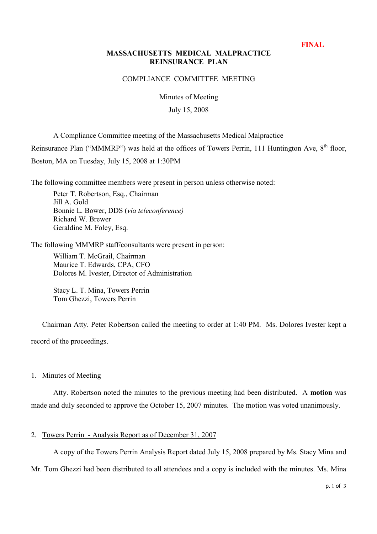**FINAL**

# **MASSACHUSETTS MEDICAL MALPRACTICE REINSURANCE PLAN**

### COMPLIANCE COMMITTEE MEETING

Minutes of Meeting

July 15, 2008

A Compliance Committee meeting of the Massachusetts Medical Malpractice

Reinsurance Plan ("MMMRP") was held at the offices of Towers Perrin, 111 Huntington Ave,  $8<sup>th</sup>$  floor,

Boston, MA on Tuesday, July 15, 2008 at 1:30PM

The following committee members were present in person unless otherwise noted:

Peter T. Robertson, Esq., Chairman Jill A. Gold Bonnie L. Bower, DDS (via teleconference) Richard W. Brewer Geraldine M. Foley, Esq.

The following MMMRP staff/consultants were present in person:

William T. McGrail, Chairman Maurice T. Edwards, CPA, CFO Dolores M. Ivester, Director of Administration

Stacy L. T. Mina, Towers Perrin Tom Ghezzi, Towers Perrin

Chairman Atty. Peter Robertson called the meeting to order at 1:40 PM. Ms. Dolores Ivester kept a record of the proceedings.

1. Minutes of Meeting

Atty. Robertson noted the minutes to the previous meeting had been distributed. A **motion** was made and duly seconded to approve the October 15, 2007 minutes. The motion was voted unanimously.

# 2. Towers Perrin - Analysis Report as of December 31, 2007

A copy of the Towers Perrin Analysis Report dated July 15, 2008 prepared by Ms. Stacy Mina and

Mr. Tom Ghezzi had been distributed to all attendees and a copy is included with the minutes. Ms. Mina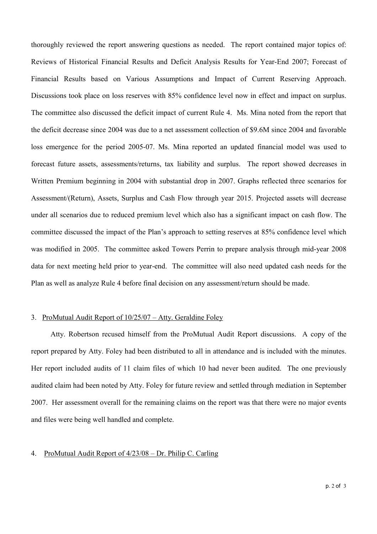thoroughly reviewed the report answering questions as needed. The report contained major topics of: Reviews of Historical Financial Results and Deficit Analysis Results for Year-End 2007; Forecast of Financial Results based on Various Assumptions and Impact of Current Reserving Approach. Discussions took place on loss reserves with 85% confidence level now in effect and impact on surplus. The committee also discussed the deficit impact of current Rule 4. Ms. Mina noted from the report that the deficit decrease since 2004 was due to a net assessment collection of \$9.6M since 2004 and favorable loss emergence for the period 2005-07. Ms. Mina reported an updated financial model was used to forecast future assets, assessments/returns, tax liability and surplus. The report showed decreases in Written Premium beginning in 2004 with substantial drop in 2007. Graphs reflected three scenarios for Assessment/(Return), Assets, Surplus and Cash Flow through year 2015. Projected assets will decrease under all scenarios due to reduced premium level which also has a significant impact on cash flow. The committee discussed the impact of the Plan's approach to setting reserves at 85% confidence level which was modified in 2005. The committee asked Towers Perrin to prepare analysis through mid-year 2008 data for next meeting held prior to year-end. The committee will also need updated cash needs for the Plan as well as analyze Rule 4 before final decision on any assessment/return should be made.

### 3. ProMutual Audit Report of  $10/25/07 -$  Atty. Geraldine Foley

Atty. Robertson recused himself from the ProMutual Audit Report discussions. A copy of the report prepared by Atty. Foley had been distributed to all in attendance and is included with the minutes. Her report included audits of 11 claim files of which 10 had never been audited. The one previously audited claim had been noted by Atty. Foley for future review and settled through mediation in September 2007. Her assessment overall for the remaining claims on the report was that there were no major events and files were being well handled and complete.

### 4. ProMutual Audit Report of  $4/23/08$  – Dr. Philip C. Carling